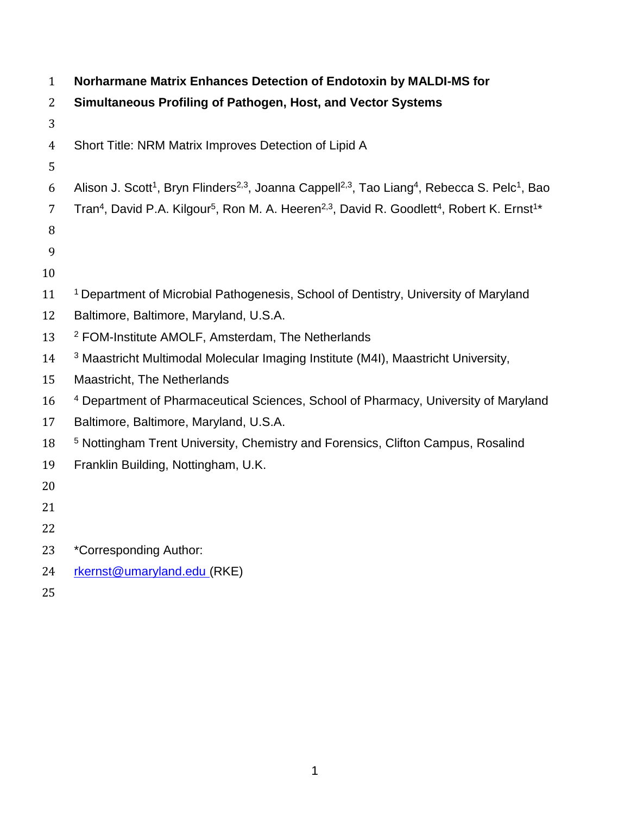| $\mathbf{1}$   | Norharmane Matrix Enhances Detection of Endotoxin by MALDI-MS for                                                                                         |
|----------------|-----------------------------------------------------------------------------------------------------------------------------------------------------------|
| $\overline{2}$ | Simultaneous Profiling of Pathogen, Host, and Vector Systems                                                                                              |
| 3              |                                                                                                                                                           |
| $\overline{4}$ | Short Title: NRM Matrix Improves Detection of Lipid A                                                                                                     |
| 5              |                                                                                                                                                           |
| 6              | Alison J. Scott <sup>1</sup> , Bryn Flinders <sup>2,3</sup> , Joanna Cappell <sup>2,3</sup> , Tao Liang <sup>4</sup> , Rebecca S. Pelc <sup>1</sup> , Bao |
| 7              | Tran <sup>4</sup> , David P.A. Kilgour <sup>5</sup> , Ron M. A. Heeren <sup>2,3</sup> , David R. Goodlett <sup>4</sup> , Robert K. Ernst <sup>1*</sup>    |
| 8              |                                                                                                                                                           |
| 9              |                                                                                                                                                           |
| 10             |                                                                                                                                                           |
| 11             | <sup>1</sup> Department of Microbial Pathogenesis, School of Dentistry, University of Maryland                                                            |
| 12             | Baltimore, Baltimore, Maryland, U.S.A.                                                                                                                    |
| 13             | <sup>2</sup> FOM-Institute AMOLF, Amsterdam, The Netherlands                                                                                              |
| 14             | <sup>3</sup> Maastricht Multimodal Molecular Imaging Institute (M4I), Maastricht University,                                                              |
| 15             | <b>Maastricht, The Netherlands</b>                                                                                                                        |
| 16             | <sup>4</sup> Department of Pharmaceutical Sciences, School of Pharmacy, University of Maryland                                                            |
| 17             | Baltimore, Baltimore, Maryland, U.S.A.                                                                                                                    |
| 18             | <sup>5</sup> Nottingham Trent University, Chemistry and Forensics, Clifton Campus, Rosalind                                                               |
| 19             | Franklin Building, Nottingham, U.K.                                                                                                                       |
| 20             |                                                                                                                                                           |
| 21             |                                                                                                                                                           |
| 22             |                                                                                                                                                           |
| 23             | *Corresponding Author:                                                                                                                                    |
| 24             | rkernst@umaryland.edu (RKE)                                                                                                                               |
| 25             |                                                                                                                                                           |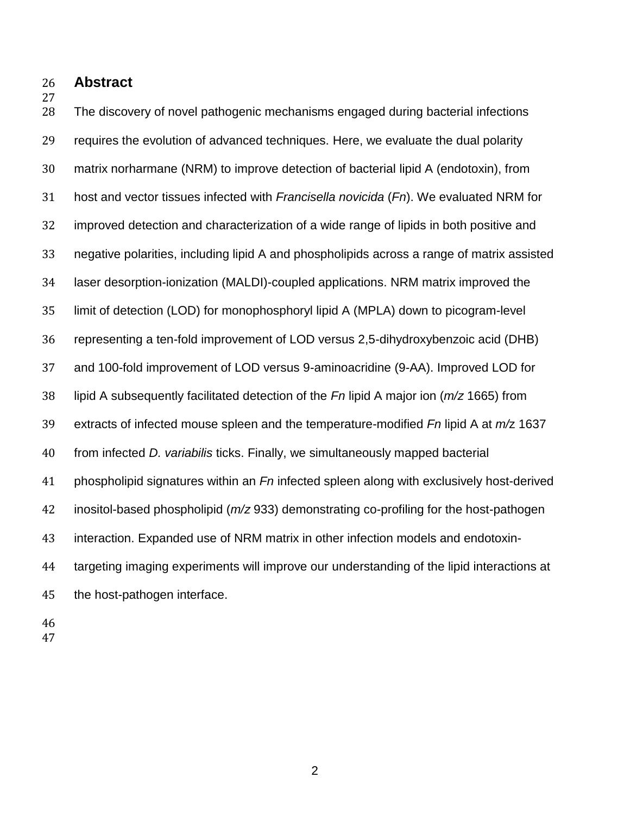**Abstract**

 The discovery of novel pathogenic mechanisms engaged during bacterial infections requires the evolution of advanced techniques. Here, we evaluate the dual polarity matrix norharmane (NRM) to improve detection of bacterial lipid A (endotoxin), from host and vector tissues infected with *Francisella novicida* (*Fn*). We evaluated NRM for improved detection and characterization of a wide range of lipids in both positive and negative polarities, including lipid A and phospholipids across a range of matrix assisted laser desorption-ionization (MALDI)-coupled applications. NRM matrix improved the limit of detection (LOD) for monophosphoryl lipid A (MPLA) down to picogram-level representing a ten-fold improvement of LOD versus 2,5-dihydroxybenzoic acid (DHB) and 100-fold improvement of LOD versus 9-aminoacridine (9-AA). Improved LOD for lipid A subsequently facilitated detection of the *Fn* lipid A major ion (*m/z* 1665) from extracts of infected mouse spleen and the temperature-modified *Fn* lipid A at *m/*z 1637 from infected *D. variabilis* ticks. Finally, we simultaneously mapped bacterial phospholipid signatures within an *Fn* infected spleen along with exclusively host-derived inositol-based phospholipid (*m/z* 933) demonstrating co-profiling for the host-pathogen interaction. Expanded use of NRM matrix in other infection models and endotoxin- targeting imaging experiments will improve our understanding of the lipid interactions at the host-pathogen interface.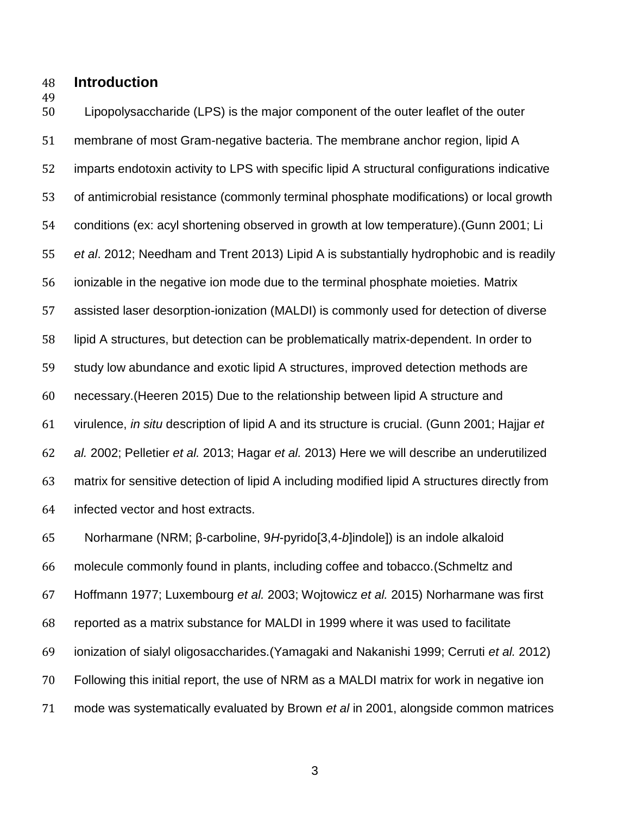#### **Introduction**

 Lipopolysaccharide (LPS) is the major component of the outer leaflet of the outer membrane of most Gram-negative bacteria. The membrane anchor region, lipid A imparts endotoxin activity to LPS with specific lipid A structural configurations indicative of antimicrobial resistance (commonly terminal phosphate modifications) or local growth conditions (ex: acyl shortening observed in growth at low temperature).(Gunn 2001; Li *et al*. 2012; Needham and Trent 2013) Lipid A is substantially hydrophobic and is readily ionizable in the negative ion mode due to the terminal phosphate moieties. Matrix assisted laser desorption-ionization (MALDI) is commonly used for detection of diverse lipid A structures, but detection can be problematically matrix-dependent. In order to study low abundance and exotic lipid A structures, improved detection methods are necessary.(Heeren 2015) Due to the relationship between lipid A structure and virulence, *in situ* description of lipid A and its structure is crucial. (Gunn 2001; Hajjar *et al.* 2002; Pelletier *et al.* 2013; Hagar *et al.* 2013) Here we will describe an underutilized matrix for sensitive detection of lipid A including modified lipid A structures directly from infected vector and host extracts.

 Norharmane (NRM; β-carboline, 9*H*-pyrido[3,4-*b*]indole]) is an indole alkaloid molecule commonly found in plants, including coffee and tobacco.(Schmeltz and Hoffmann 1977; Luxembourg *et al.* 2003; Wojtowicz *et al.* 2015) Norharmane was first reported as a matrix substance for MALDI in 1999 where it was used to facilitate ionization of sialyl oligosaccharides.(Yamagaki and Nakanishi 1999; Cerruti *et al.* 2012) Following this initial report, the use of NRM as a MALDI matrix for work in negative ion mode was systematically evaluated by Brown *et al* in 2001, alongside common matrices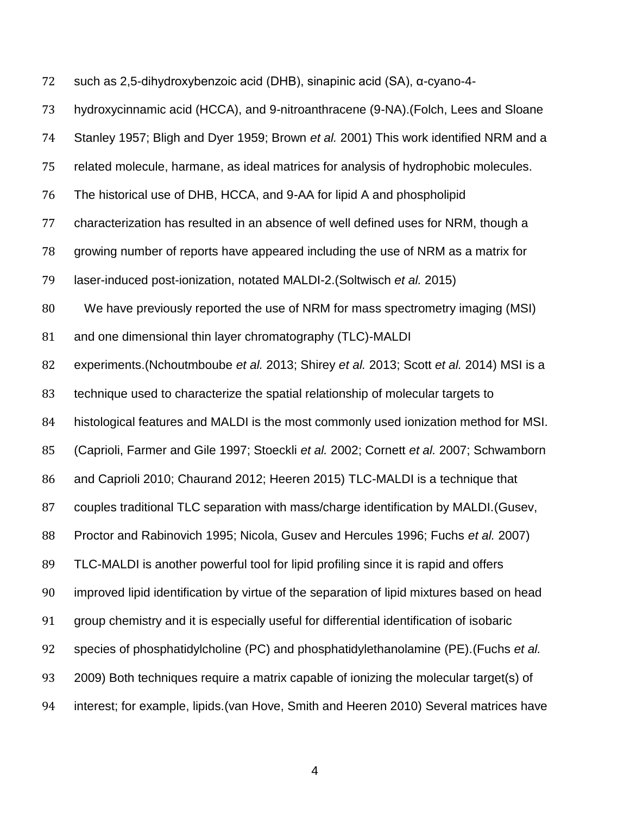such as 2,5-dihydroxybenzoic acid (DHB), sinapinic acid (SA), α-cyano-4-

| 73 | hydroxycinnamic acid (HCCA), and 9-nitroanthracene (9-NA). (Folch, Lees and Sloane        |
|----|-------------------------------------------------------------------------------------------|
| 74 | Stanley 1957; Bligh and Dyer 1959; Brown et al. 2001) This work identified NRM and a      |
| 75 | related molecule, harmane, as ideal matrices for analysis of hydrophobic molecules.       |
| 76 | The historical use of DHB, HCCA, and 9-AA for lipid A and phospholipid                    |
| 77 | characterization has resulted in an absence of well defined uses for NRM, though a        |
| 78 | growing number of reports have appeared including the use of NRM as a matrix for          |
| 79 | laser-induced post-ionization, notated MALDI-2. (Soltwisch et al. 2015)                   |
| 80 | We have previously reported the use of NRM for mass spectrometry imaging (MSI)            |
| 81 | and one dimensional thin layer chromatography (TLC)-MALDI                                 |
| 82 | experiments. (Nchoutmboube et al. 2013; Shirey et al. 2013; Scott et al. 2014) MSI is a   |
| 83 | technique used to characterize the spatial relationship of molecular targets to           |
| 84 | histological features and MALDI is the most commonly used ionization method for MSI.      |
| 85 | (Caprioli, Farmer and Gile 1997; Stoeckli et al. 2002; Cornett et al. 2007; Schwamborn    |
| 86 | and Caprioli 2010; Chaurand 2012; Heeren 2015) TLC-MALDI is a technique that              |
| 87 | couples traditional TLC separation with mass/charge identification by MALDI. (Gusev,      |
| 88 | Proctor and Rabinovich 1995; Nicola, Gusev and Hercules 1996; Fuchs et al. 2007)          |
| 89 | TLC-MALDI is another powerful tool for lipid profiling since it is rapid and offers       |
| 90 | improved lipid identification by virtue of the separation of lipid mixtures based on head |
| 91 | group chemistry and it is especially useful for differential identification of isobaric   |
| 92 | species of phosphatidylcholine (PC) and phosphatidylethanolamine (PE). (Fuchs et al.      |
| 93 | 2009) Both techniques require a matrix capable of ionizing the molecular target(s) of     |
| 94 | interest; for example, lipids. (van Hove, Smith and Heeren 2010) Several matrices have    |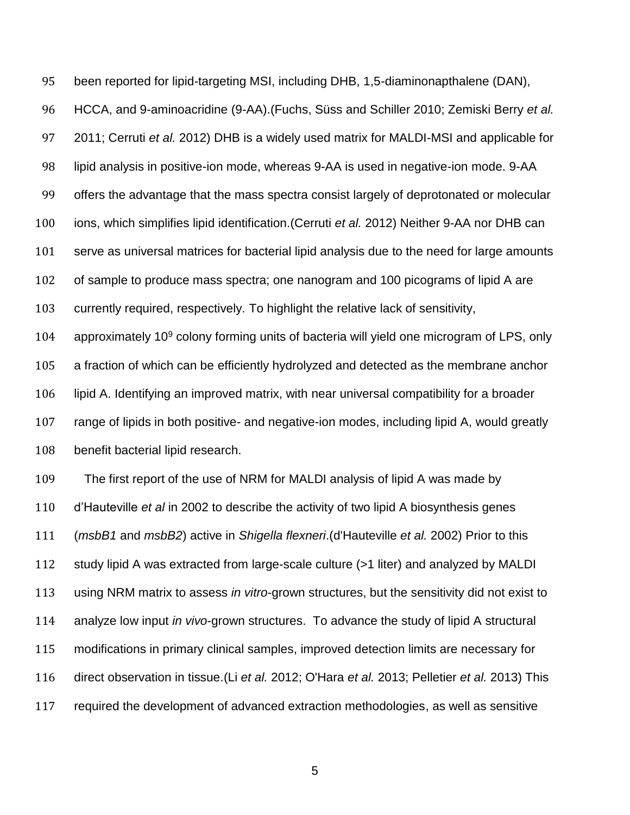been reported for lipid-targeting MSI, including DHB, 1,5-diaminonapthalene (DAN),

 HCCA, and 9-aminoacridine (9-AA).(Fuchs, Süss and Schiller 2010; Zemiski Berry *et al.* 2011; Cerruti *et al.* 2012) DHB is a widely used matrix for MALDI-MSI and applicable for lipid analysis in positive-ion mode, whereas 9-AA is used in negative-ion mode. 9-AA offers the advantage that the mass spectra consist largely of deprotonated or molecular ions, which simplifies lipid identification.(Cerruti *et al.* 2012) Neither 9-AA nor DHB can serve as universal matrices for bacterial lipid analysis due to the need for large amounts of sample to produce mass spectra; one nanogram and 100 picograms of lipid A are currently required, respectively. To highlight the relative lack of sensitivity, 104 approximately 10 colony forming units of bacteria will yield one microgram of LPS, only a fraction of which can be efficiently hydrolyzed and detected as the membrane anchor lipid A. Identifying an improved matrix, with near universal compatibility for a broader range of lipids in both positive- and negative-ion modes, including lipid A, would greatly

benefit bacterial lipid research.

 The first report of the use of NRM for MALDI analysis of lipid A was made by d'Hauteville *et al* in 2002 to describe the activity of two lipid A biosynthesis genes (*msbB1* and *msbB2*) active in *Shigella flexneri*.(d'Hauteville *et al.* 2002) Prior to this study lipid A was extracted from large-scale culture (>1 liter) and analyzed by MALDI using NRM matrix to assess *in vitro*-grown structures, but the sensitivity did not exist to analyze low input *in vivo*-grown structures. To advance the study of lipid A structural modifications in primary clinical samples, improved detection limits are necessary for direct observation in tissue.(Li *et al.* 2012; O'Hara *et al.* 2013; Pelletier *et al.* 2013) This required the development of advanced extraction methodologies, as well as sensitive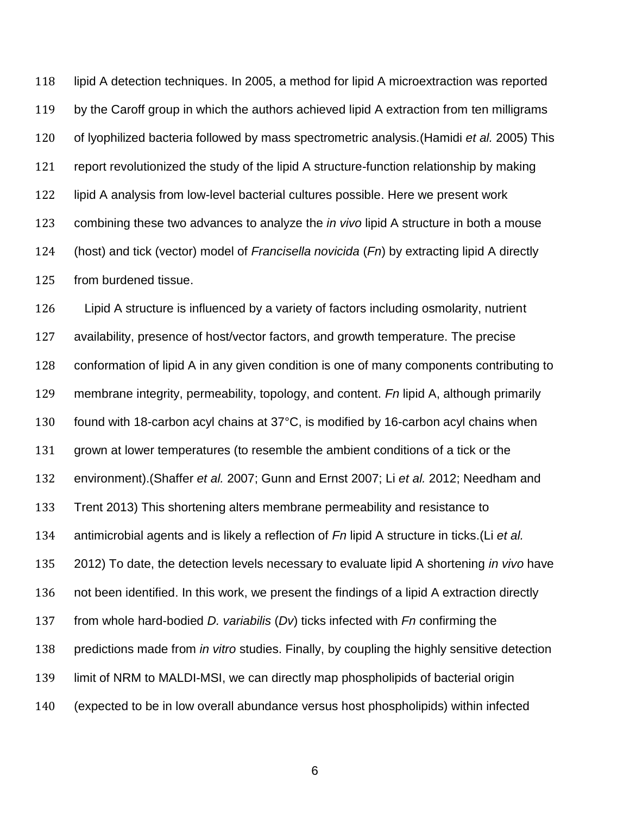lipid A detection techniques. In 2005, a method for lipid A microextraction was reported 119 by the Caroff group in which the authors achieved lipid A extraction from ten milligrams of lyophilized bacteria followed by mass spectrometric analysis.(Hamidi *et al.* 2005) This report revolutionized the study of the lipid A structure-function relationship by making lipid A analysis from low-level bacterial cultures possible. Here we present work combining these two advances to analyze the *in vivo* lipid A structure in both a mouse (host) and tick (vector) model of *Francisella novicida* (*Fn*) by extracting lipid A directly from burdened tissue.

 Lipid A structure is influenced by a variety of factors including osmolarity, nutrient availability, presence of host/vector factors, and growth temperature. The precise conformation of lipid A in any given condition is one of many components contributing to membrane integrity, permeability, topology, and content. *Fn* lipid A, although primarily found with 18-carbon acyl chains at 37°C, is modified by 16-carbon acyl chains when grown at lower temperatures (to resemble the ambient conditions of a tick or the environment).(Shaffer *et al.* 2007; Gunn and Ernst 2007; Li *et al.* 2012; Needham and Trent 2013) This shortening alters membrane permeability and resistance to antimicrobial agents and is likely a reflection of *Fn* lipid A structure in ticks.(Li *et al.* 2012) To date, the detection levels necessary to evaluate lipid A shortening *in vivo* have not been identified. In this work, we present the findings of a lipid A extraction directly from whole hard-bodied *D. variabilis* (*Dv*) ticks infected with *Fn* confirming the predictions made from *in vitro* studies. Finally, by coupling the highly sensitive detection limit of NRM to MALDI-MSI, we can directly map phospholipids of bacterial origin (expected to be in low overall abundance versus host phospholipids) within infected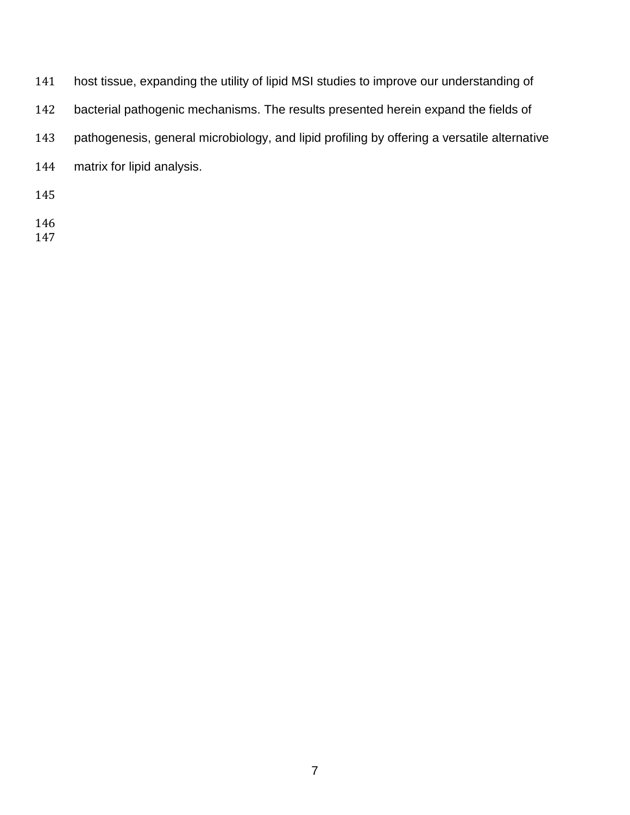| 141 | host tissue, expanding the utility of lipid MSI studies to improve our understanding of     |
|-----|---------------------------------------------------------------------------------------------|
| 142 | bacterial pathogenic mechanisms. The results presented herein expand the fields of          |
| 143 | pathogenesis, general microbiology, and lipid profiling by offering a versatile alternative |
| 144 | matrix for lipid analysis.                                                                  |
| 145 |                                                                                             |
|     |                                                                                             |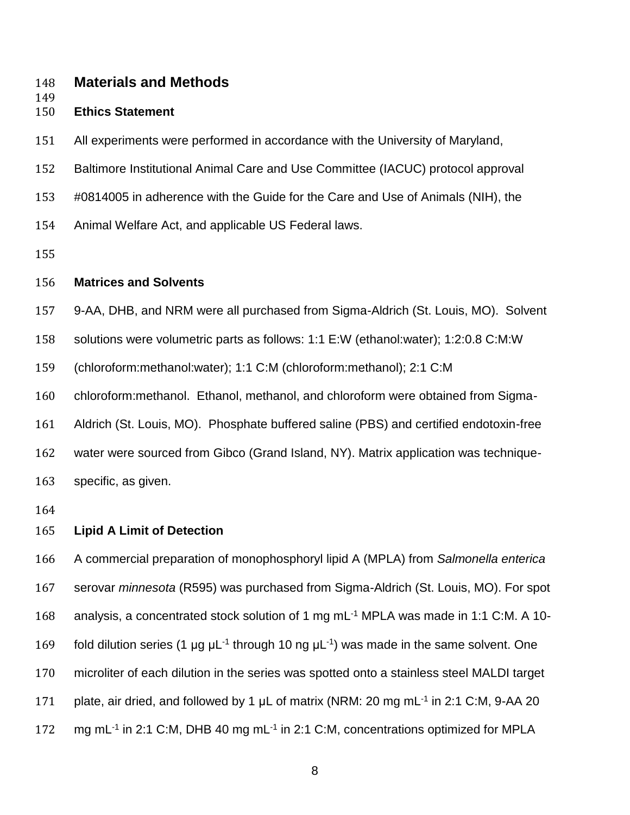#### **Materials and Methods**

# **Ethics Statement**

- All experiments were performed in accordance with the University of Maryland,
- Baltimore Institutional Animal Care and Use Committee (IACUC) protocol approval
- #0814005 in adherence with the Guide for the Care and Use of Animals (NIH), the
- Animal Welfare Act, and applicable US Federal laws.
- 

#### **Matrices and Solvents**

- 9-AA, DHB, and NRM were all purchased from Sigma-Aldrich (St. Louis, MO). Solvent
- solutions were volumetric parts as follows: 1:1 E:W (ethanol:water); 1:2:0.8 C:M:W

(chloroform:methanol:water); 1:1 C:M (chloroform:methanol); 2:1 C:M

- chloroform:methanol. Ethanol, methanol, and chloroform were obtained from Sigma-
- Aldrich (St. Louis, MO). Phosphate buffered saline (PBS) and certified endotoxin-free
- water were sourced from Gibco (Grand Island, NY). Matrix application was technique-
- specific, as given.
- 

#### **Lipid A Limit of Detection**

 A commercial preparation of monophosphoryl lipid A (MPLA) from *Salmonella enterica*  serovar *minnesota* (R595) was purchased from Sigma-Aldrich (St. Louis, MO). For spot 168 analysis, a concentrated stock solution of 1 mg mL<sup>-1</sup> MPLA was made in 1:1 C:M. A 10-169 fold dilution series (1 µg  $\mu$ L<sup>-1</sup> through 10 ng  $\mu$ L<sup>-1</sup>) was made in the same solvent. One microliter of each dilution in the series was spotted onto a stainless steel MALDI target 171 plate, air dried, and followed by 1  $\mu$ L of matrix (NRM: 20 mg mL<sup>-1</sup> in 2:1 C:M, 9-AA 20 172 mg mL<sup>-1</sup> in 2:1 C:M, DHB 40 mg mL<sup>-1</sup> in 2:1 C:M, concentrations optimized for MPLA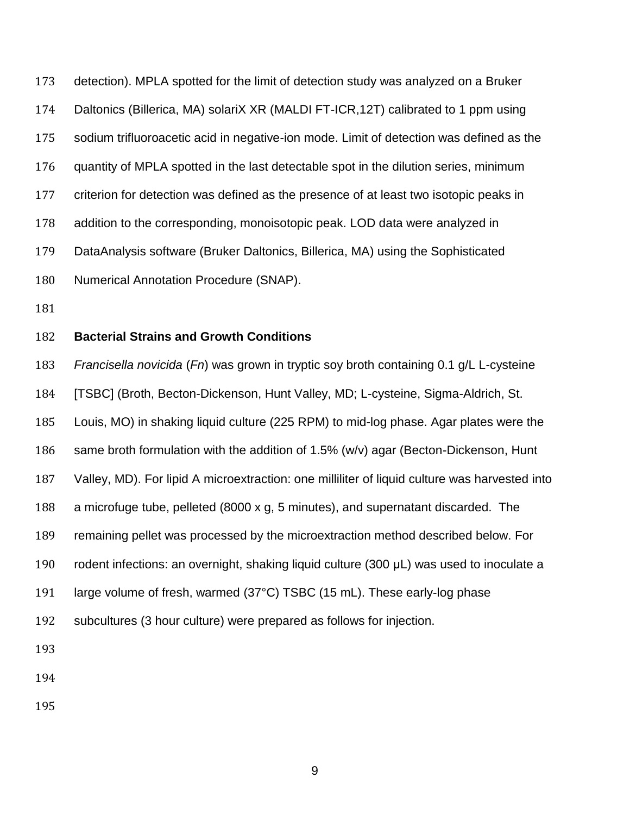detection). MPLA spotted for the limit of detection study was analyzed on a Bruker Daltonics (Billerica, MA) solariX XR (MALDI FT-ICR,12T) calibrated to 1 ppm using sodium trifluoroacetic acid in negative-ion mode. Limit of detection was defined as the quantity of MPLA spotted in the last detectable spot in the dilution series, minimum criterion for detection was defined as the presence of at least two isotopic peaks in addition to the corresponding, monoisotopic peak. LOD data were analyzed in DataAnalysis software (Bruker Daltonics, Billerica, MA) using the Sophisticated Numerical Annotation Procedure (SNAP).

## **Bacterial Strains and Growth Conditions**

 *Francisella novicida* (*Fn*) was grown in tryptic soy broth containing 0.1 g/L L-cysteine [TSBC] (Broth, Becton-Dickenson, Hunt Valley, MD; L-cysteine, Sigma-Aldrich, St. Louis, MO) in shaking liquid culture (225 RPM) to mid-log phase. Agar plates were the same broth formulation with the addition of 1.5% (w/v) agar (Becton-Dickenson, Hunt Valley, MD). For lipid A microextraction: one milliliter of liquid culture was harvested into a microfuge tube, pelleted (8000 x g, 5 minutes), and supernatant discarded. The remaining pellet was processed by the microextraction method described below. For rodent infections: an overnight, shaking liquid culture (300 μL) was used to inoculate a large volume of fresh, warmed (37°C) TSBC (15 mL). These early-log phase subcultures (3 hour culture) were prepared as follows for injection.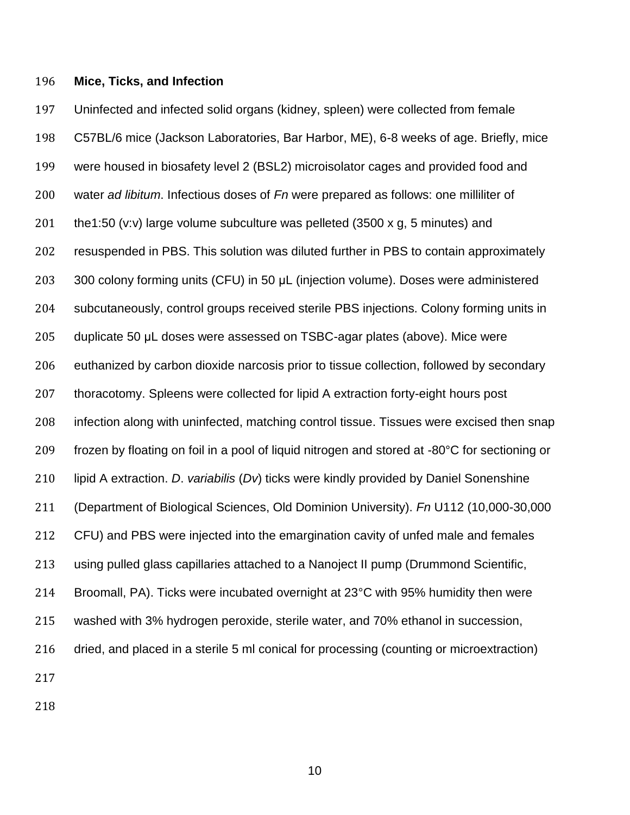#### **Mice, Ticks, and Infection**

 Uninfected and infected solid organs (kidney, spleen) were collected from female C57BL/6 mice (Jackson Laboratories, Bar Harbor, ME), 6-8 weeks of age. Briefly, mice were housed in biosafety level 2 (BSL2) microisolator cages and provided food and water *ad libitum*. Infectious doses of *Fn* were prepared as follows: one milliliter of 201 the 1:50 (v:v) large volume subculture was pelleted (3500 x g, 5 minutes) and resuspended in PBS. This solution was diluted further in PBS to contain approximately 300 colony forming units (CFU) in 50 μL (injection volume). Doses were administered subcutaneously, control groups received sterile PBS injections. Colony forming units in duplicate 50 μL doses were assessed on TSBC-agar plates (above). Mice were euthanized by carbon dioxide narcosis prior to tissue collection, followed by secondary thoracotomy. Spleens were collected for lipid A extraction forty-eight hours post infection along with uninfected, matching control tissue. Tissues were excised then snap 209 frozen by floating on foil in a pool of liquid nitrogen and stored at -80°C for sectioning or lipid A extraction. *D*. *variabilis* (*Dv*) ticks were kindly provided by Daniel Sonenshine (Department of Biological Sciences, Old Dominion University). *Fn* U112 (10,000-30,000 CFU) and PBS were injected into the emargination cavity of unfed male and females using pulled glass capillaries attached to a Nanoject II pump (Drummond Scientific, Broomall, PA). Ticks were incubated overnight at 23°C with 95% humidity then were washed with 3% hydrogen peroxide, sterile water, and 70% ethanol in succession, dried, and placed in a sterile 5 ml conical for processing (counting or microextraction)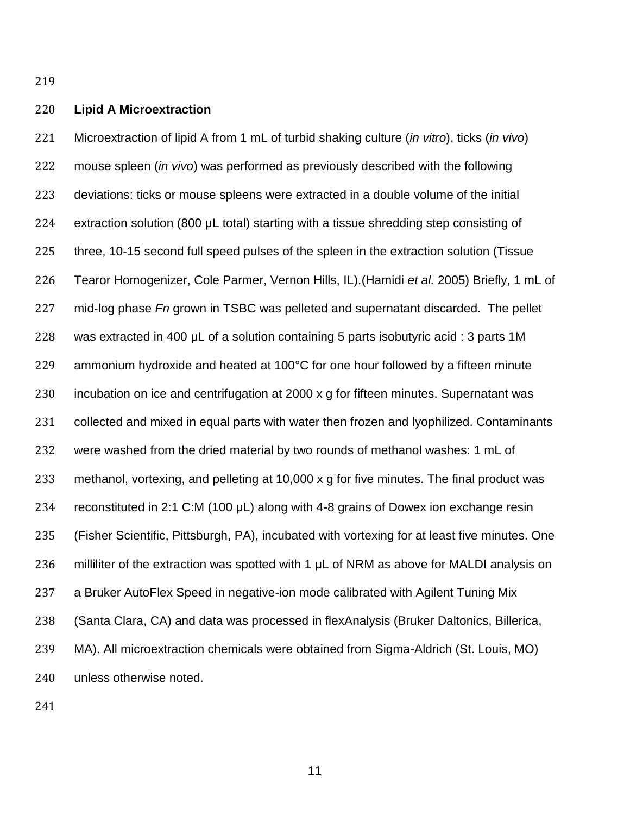#### **Lipid A Microextraction**

 Microextraction of lipid A from 1 mL of turbid shaking culture (*in vitro*), ticks (*in vivo*) mouse spleen (*in vivo*) was performed as previously described with the following deviations: ticks or mouse spleens were extracted in a double volume of the initial extraction solution (800 μL total) starting with a tissue shredding step consisting of three, 10-15 second full speed pulses of the spleen in the extraction solution (Tissue Tearor Homogenizer, Cole Parmer, Vernon Hills, IL).(Hamidi *et al.* 2005) Briefly, 1 mL of mid-log phase *Fn* grown in TSBC was pelleted and supernatant discarded. The pellet was extracted in 400 μL of a solution containing 5 parts isobutyric acid : 3 parts 1M ammonium hydroxide and heated at 100°C for one hour followed by a fifteen minute incubation on ice and centrifugation at 2000 x g for fifteen minutes. Supernatant was collected and mixed in equal parts with water then frozen and lyophilized. Contaminants were washed from the dried material by two rounds of methanol washes: 1 mL of methanol, vortexing, and pelleting at 10,000 x g for five minutes. The final product was reconstituted in 2:1 C:M (100 μL) along with 4-8 grains of Dowex ion exchange resin (Fisher Scientific, Pittsburgh, PA), incubated with vortexing for at least five minutes. One 236 milliliter of the extraction was spotted with 1 µL of NRM as above for MALDI analysis on a Bruker AutoFlex Speed in negative-ion mode calibrated with Agilent Tuning Mix (Santa Clara, CA) and data was processed in flexAnalysis (Bruker Daltonics, Billerica, MA). All microextraction chemicals were obtained from Sigma-Aldrich (St. Louis, MO) unless otherwise noted.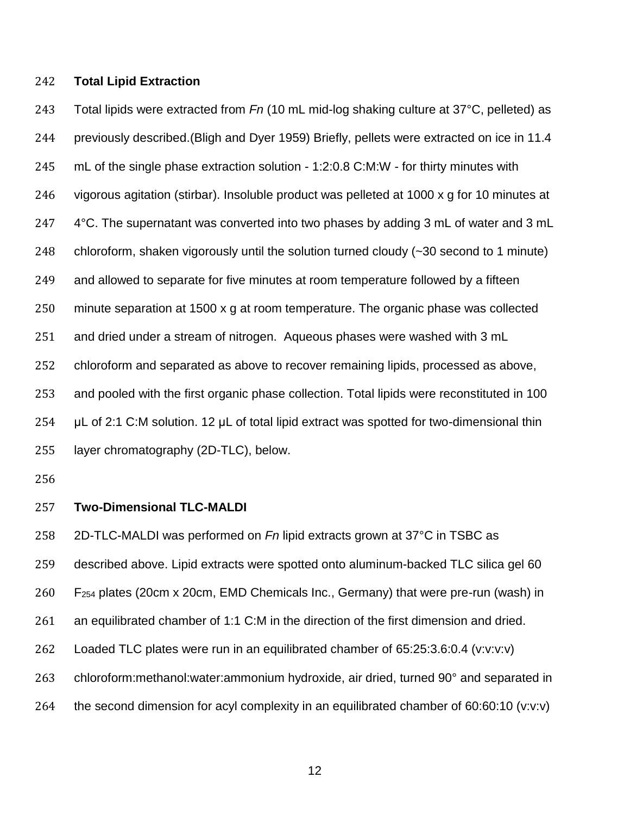#### **Total Lipid Extraction**

 Total lipids were extracted from *Fn* (10 mL mid-log shaking culture at 37°C, pelleted) as previously described.(Bligh and Dyer 1959) Briefly, pellets were extracted on ice in 11.4 mL of the single phase extraction solution - 1:2:0.8 C:M:W - for thirty minutes with vigorous agitation (stirbar). Insoluble product was pelleted at 1000 x g for 10 minutes at 247 4°C. The supernatant was converted into two phases by adding 3 mL of water and 3 mL chloroform, shaken vigorously until the solution turned cloudy (~30 second to 1 minute) and allowed to separate for five minutes at room temperature followed by a fifteen minute separation at 1500 x g at room temperature. The organic phase was collected and dried under a stream of nitrogen. Aqueous phases were washed with 3 mL chloroform and separated as above to recover remaining lipids, processed as above, and pooled with the first organic phase collection. Total lipids were reconstituted in 100 μL of 2:1 C:M solution. 12 μL of total lipid extract was spotted for two-dimensional thin layer chromatography (2D-TLC), below.

#### **Two-Dimensional TLC-MALDI**

 2D-TLC-MALDI was performed on *Fn* lipid extracts grown at 37°C in TSBC as described above. Lipid extracts were spotted onto aluminum-backed TLC silica gel 60 F<sup>254</sup> plates (20cm x 20cm, EMD Chemicals Inc., Germany) that were pre-run (wash) in an equilibrated chamber of 1:1 C:M in the direction of the first dimension and dried. Loaded TLC plates were run in an equilibrated chamber of 65:25:3.6:0.4 (v:v:v:v) 263 chloroform:methanol:water:ammonium hydroxide, air dried, turned 90° and separated in the second dimension for acyl complexity in an equilibrated chamber of 60:60:10 (v:v:v)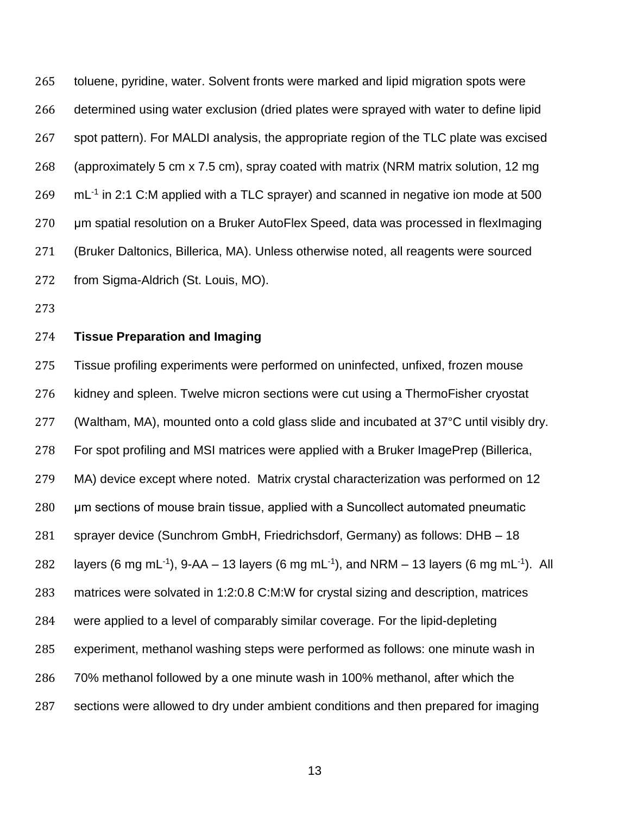toluene, pyridine, water. Solvent fronts were marked and lipid migration spots were determined using water exclusion (dried plates were sprayed with water to define lipid spot pattern). For MALDI analysis, the appropriate region of the TLC plate was excised (approximately 5 cm x 7.5 cm), spray coated with matrix (NRM matrix solution, 12 mg  $\mathrm{mL}$ <sup>-1</sup> in 2:1 C:M applied with a TLC sprayer) and scanned in negative ion mode at 500 μm spatial resolution on a Bruker AutoFlex Speed, data was processed in flexImaging (Bruker Daltonics, Billerica, MA). Unless otherwise noted, all reagents were sourced from Sigma-Aldrich (St. Louis, MO).

### **Tissue Preparation and Imaging**

 Tissue profiling experiments were performed on uninfected, unfixed, frozen mouse kidney and spleen. Twelve micron sections were cut using a ThermoFisher cryostat (Waltham, MA), mounted onto a cold glass slide and incubated at 37°C until visibly dry. For spot profiling and MSI matrices were applied with a Bruker ImagePrep (Billerica, MA) device except where noted. Matrix crystal characterization was performed on 12 μm sections of mouse brain tissue, applied with a Suncollect automated pneumatic sprayer device (Sunchrom GmbH, Friedrichsdorf, Germany) as follows: DHB – 18 282 layers (6 mg mL<sup>-1</sup>), 9-AA – 13 layers (6 mg mL<sup>-1</sup>), and NRM – 13 layers (6 mg mL<sup>-1</sup>). All matrices were solvated in 1:2:0.8 C:M:W for crystal sizing and description, matrices were applied to a level of comparably similar coverage. For the lipid-depleting experiment, methanol washing steps were performed as follows: one minute wash in 70% methanol followed by a one minute wash in 100% methanol, after which the sections were allowed to dry under ambient conditions and then prepared for imaging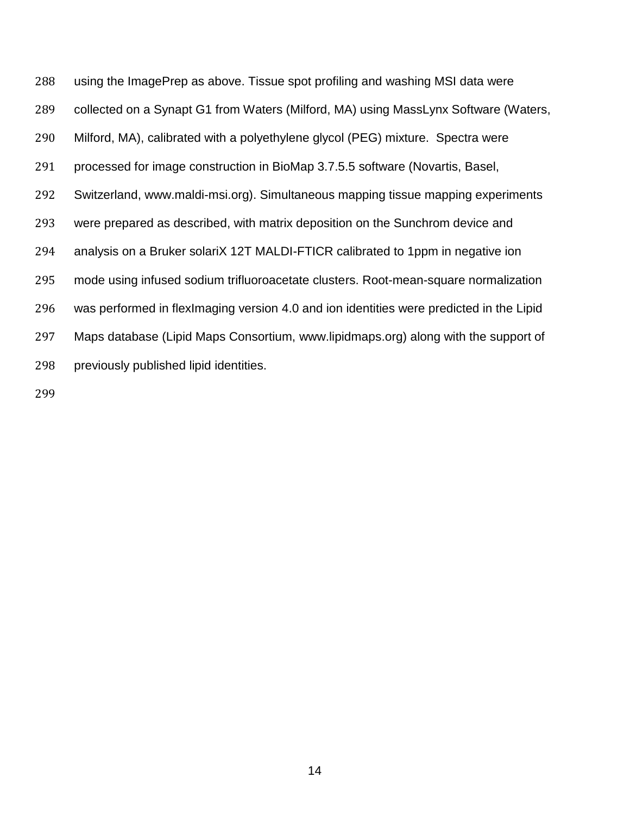using the ImagePrep as above. Tissue spot profiling and washing MSI data were collected on a Synapt G1 from Waters (Milford, MA) using MassLynx Software (Waters, Milford, MA), calibrated with a polyethylene glycol (PEG) mixture. Spectra were processed for image construction in BioMap 3.7.5.5 software (Novartis, Basel, Switzerland, www.maldi-msi.org). Simultaneous mapping tissue mapping experiments were prepared as described, with matrix deposition on the Sunchrom device and analysis on a Bruker solariX 12T MALDI-FTICR calibrated to 1ppm in negative ion mode using infused sodium trifluoroacetate clusters. Root-mean-square normalization was performed in flexImaging version 4.0 and ion identities were predicted in the Lipid Maps database (Lipid Maps Consortium, www.lipidmaps.org) along with the support of previously published lipid identities.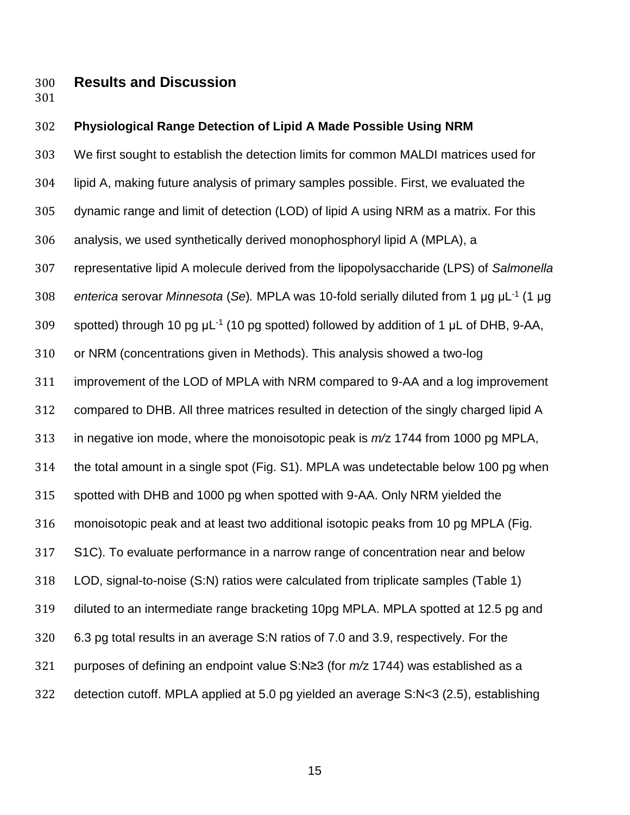## **Results and Discussion**

#### **Physiological Range Detection of Lipid A Made Possible Using NRM**

 We first sought to establish the detection limits for common MALDI matrices used for lipid A, making future analysis of primary samples possible. First, we evaluated the dynamic range and limit of detection (LOD) of lipid A using NRM as a matrix. For this analysis, we used synthetically derived monophosphoryl lipid A (MPLA), a representative lipid A molecule derived from the lipopolysaccharide (LPS) of *Salmonella*  308 enterica serovar *Minnesota* (Se). MPLA was 10-fold serially diluted from 1 μg μL<sup>-1</sup> (1 μg 309 spotted) through 10 pg  $\mu$ L<sup>-1</sup> (10 pg spotted) followed by addition of 1  $\mu$ L of DHB, 9-AA, or NRM (concentrations given in Methods). This analysis showed a two-log improvement of the LOD of MPLA with NRM compared to 9-AA and a log improvement compared to DHB. All three matrices resulted in detection of the singly charged lipid A in negative ion mode, where the monoisotopic peak is *m/*z 1744 from 1000 pg MPLA, the total amount in a single spot (Fig. S1). MPLA was undetectable below 100 pg when spotted with DHB and 1000 pg when spotted with 9-AA. Only NRM yielded the monoisotopic peak and at least two additional isotopic peaks from 10 pg MPLA (Fig. S1C). To evaluate performance in a narrow range of concentration near and below LOD, signal-to-noise (S:N) ratios were calculated from triplicate samples (Table 1) diluted to an intermediate range bracketing 10pg MPLA. MPLA spotted at 12.5 pg and 6.3 pg total results in an average S:N ratios of 7.0 and 3.9, respectively. For the purposes of defining an endpoint value S:N≥3 (for *m/*z 1744) was established as a detection cutoff. MPLA applied at 5.0 pg yielded an average S:N<3 (2.5), establishing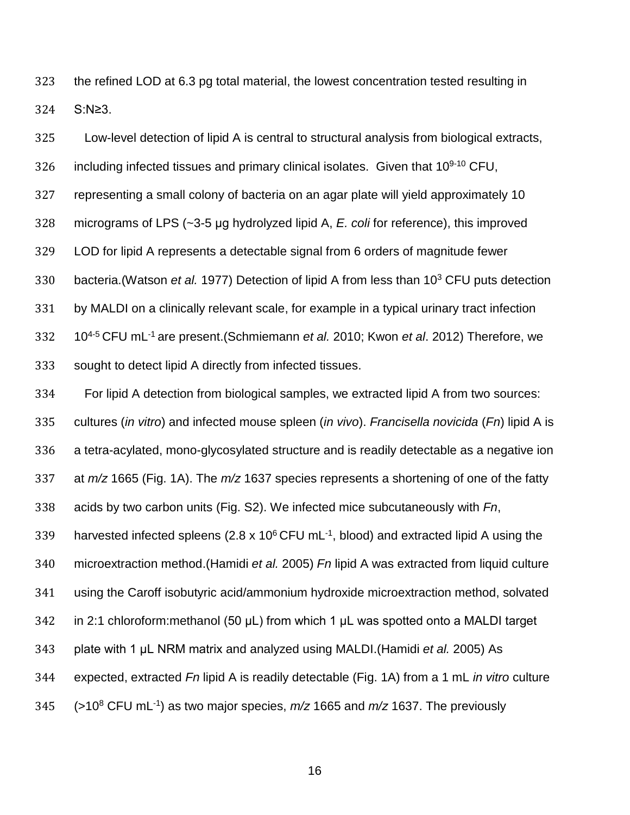the refined LOD at 6.3 pg total material, the lowest concentration tested resulting in S:N≥3.

 Low-level detection of lipid A is central to structural analysis from biological extracts, 326 including infected tissues and primary clinical isolates. Given that  $10<sup>9-10</sup>$  CFU, representing a small colony of bacteria on an agar plate will yield approximately 10 micrograms of LPS (~3-5 μg hydrolyzed lipid A, *E. coli* for reference), this improved LOD for lipid A represents a detectable signal from 6 orders of magnitude fewer 330 bacteria.(Watson *et al.* 1977) Detection of lipid A from less than 10<sup>3</sup> CFU puts detection by MALDI on a clinically relevant scale, for example in a typical urinary tract infection 4-5 CFU mL-1 are present.(Schmiemann *et al.* 2010; Kwon *et al*. 2012) Therefore, we sought to detect lipid A directly from infected tissues.

 For lipid A detection from biological samples, we extracted lipid A from two sources: cultures (*in vitro*) and infected mouse spleen (*in vivo*). *Francisella novicida* (*Fn*) lipid A is a tetra-acylated, mono-glycosylated structure and is readily detectable as a negative ion at *m/z* 1665 (Fig. 1A). The *m/z* 1637 species represents a shortening of one of the fatty acids by two carbon units (Fig. S2). We infected mice subcutaneously with *Fn*, 339 harvested infected spleens (2.8 x  $10^6$  CFU mL<sup>-1</sup>, blood) and extracted lipid A using the microextraction method.(Hamidi *et al.* 2005) *Fn* lipid A was extracted from liquid culture using the Caroff isobutyric acid/ammonium hydroxide microextraction method, solvated in 2:1 chloroform:methanol (50 μL) from which 1 μL was spotted onto a MALDI target plate with 1 μL NRM matrix and analyzed using MALDI.(Hamidi *et al.* 2005) As expected, extracted *Fn* lipid A is readily detectable (Fig. 1A) from a 1 mL *in vitro* culture 345 ( $>10^8$  CFU mL<sup>-1</sup>) as two major species,  $m/z$  1665 and  $m/z$  1637. The previously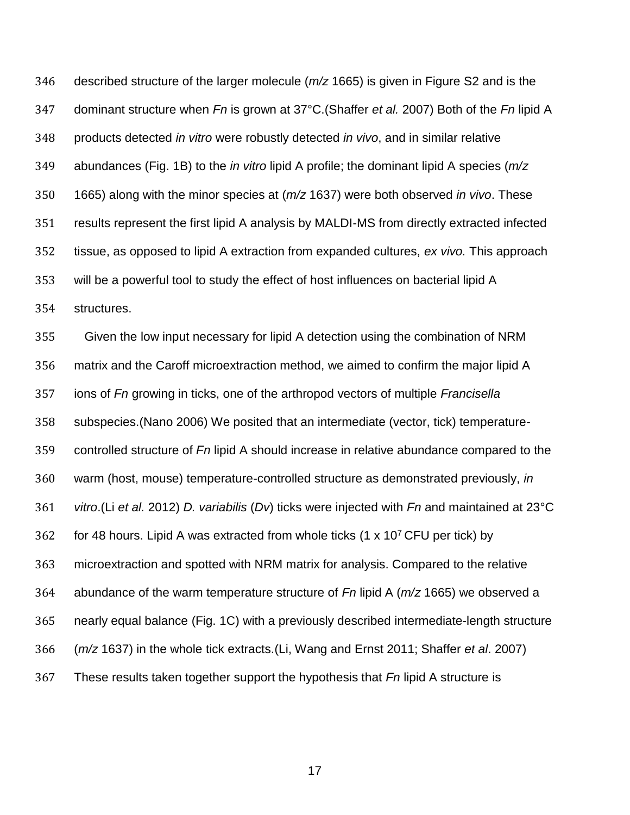described structure of the larger molecule (*m/z* 1665) is given in Figure S2 and is the dominant structure when *Fn* is grown at 37°C.(Shaffer *et al.* 2007) Both of the *Fn* lipid A products detected *in vitro* were robustly detected *in vivo*, and in similar relative abundances (Fig. 1B) to the *in vitro* lipid A profile; the dominant lipid A species (*m/z*  1665) along with the minor species at (*m/z* 1637) were both observed *in vivo*. These results represent the first lipid A analysis by MALDI-MS from directly extracted infected tissue, as opposed to lipid A extraction from expanded cultures, *ex vivo.* This approach will be a powerful tool to study the effect of host influences on bacterial lipid A structures.

 Given the low input necessary for lipid A detection using the combination of NRM matrix and the Caroff microextraction method, we aimed to confirm the major lipid A ions of *Fn* growing in ticks, one of the arthropod vectors of multiple *Francisella*  subspecies.(Nano 2006) We posited that an intermediate (vector, tick) temperature- controlled structure of *Fn* lipid A should increase in relative abundance compared to the warm (host, mouse) temperature-controlled structure as demonstrated previously, *in vitro*.(Li *et al.* 2012) *D. variabilis* (*Dv*) ticks were injected with *Fn* and maintained at 23°C 362 for 48 hours. Lipid A was extracted from whole ticks  $(1 \times 10^7 CFU)$  per tick) by microextraction and spotted with NRM matrix for analysis. Compared to the relative abundance of the warm temperature structure of *Fn* lipid A (*m/z* 1665) we observed a nearly equal balance (Fig. 1C) with a previously described intermediate-length structure (*m/z* 1637) in the whole tick extracts.(Li, Wang and Ernst 2011; Shaffer *et al*. 2007) These results taken together support the hypothesis that *Fn* lipid A structure is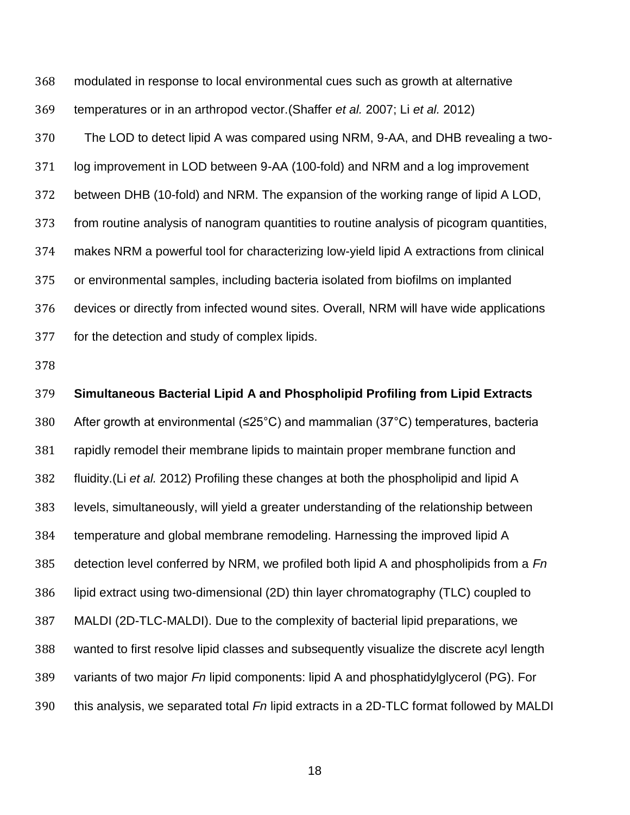modulated in response to local environmental cues such as growth at alternative temperatures or in an arthropod vector.(Shaffer *et al.* 2007; Li *et al.* 2012) The LOD to detect lipid A was compared using NRM, 9-AA, and DHB revealing a two- log improvement in LOD between 9-AA (100-fold) and NRM and a log improvement between DHB (10-fold) and NRM. The expansion of the working range of lipid A LOD, from routine analysis of nanogram quantities to routine analysis of picogram quantities, makes NRM a powerful tool for characterizing low-yield lipid A extractions from clinical or environmental samples, including bacteria isolated from biofilms on implanted devices or directly from infected wound sites. Overall, NRM will have wide applications for the detection and study of complex lipids.

 **Simultaneous Bacterial Lipid A and Phospholipid Profiling from Lipid Extracts** After growth at environmental (≤25°C) and mammalian (37°C) temperatures, bacteria rapidly remodel their membrane lipids to maintain proper membrane function and fluidity.(Li *et al.* 2012) Profiling these changes at both the phospholipid and lipid A levels, simultaneously, will yield a greater understanding of the relationship between temperature and global membrane remodeling. Harnessing the improved lipid A detection level conferred by NRM, we profiled both lipid A and phospholipids from a *Fn* lipid extract using two-dimensional (2D) thin layer chromatography (TLC) coupled to MALDI (2D-TLC-MALDI). Due to the complexity of bacterial lipid preparations, we wanted to first resolve lipid classes and subsequently visualize the discrete acyl length variants of two major *Fn* lipid components: lipid A and phosphatidylglycerol (PG). For this analysis, we separated total *Fn* lipid extracts in a 2D-TLC format followed by MALDI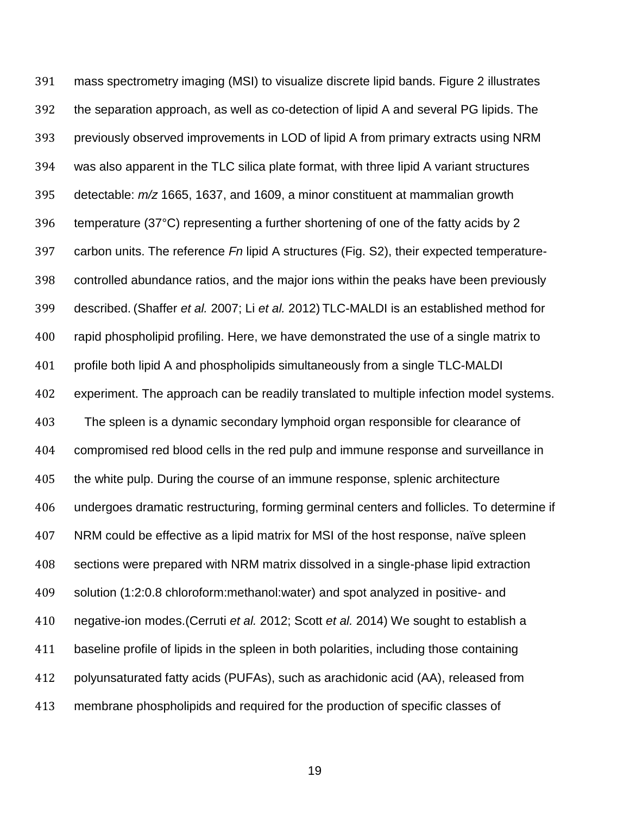mass spectrometry imaging (MSI) to visualize discrete lipid bands. Figure 2 illustrates the separation approach, as well as co-detection of lipid A and several PG lipids. The previously observed improvements in LOD of lipid A from primary extracts using NRM was also apparent in the TLC silica plate format, with three lipid A variant structures detectable: *m/z* 1665, 1637, and 1609, a minor constituent at mammalian growth temperature (37°C) representing a further shortening of one of the fatty acids by 2 carbon units. The reference *Fn* lipid A structures (Fig. S2), their expected temperature- controlled abundance ratios, and the major ions within the peaks have been previously described. (Shaffer *et al.* 2007; Li *et al.* 2012) TLC-MALDI is an established method for rapid phospholipid profiling. Here, we have demonstrated the use of a single matrix to profile both lipid A and phospholipids simultaneously from a single TLC-MALDI experiment. The approach can be readily translated to multiple infection model systems. The spleen is a dynamic secondary lymphoid organ responsible for clearance of compromised red blood cells in the red pulp and immune response and surveillance in the white pulp. During the course of an immune response, splenic architecture undergoes dramatic restructuring, forming germinal centers and follicles. To determine if NRM could be effective as a lipid matrix for MSI of the host response, naïve spleen sections were prepared with NRM matrix dissolved in a single-phase lipid extraction solution (1:2:0.8 chloroform:methanol:water) and spot analyzed in positive- and negative-ion modes.(Cerruti *et al.* 2012; Scott *et al.* 2014) We sought to establish a baseline profile of lipids in the spleen in both polarities, including those containing polyunsaturated fatty acids (PUFAs), such as arachidonic acid (AA), released from membrane phospholipids and required for the production of specific classes of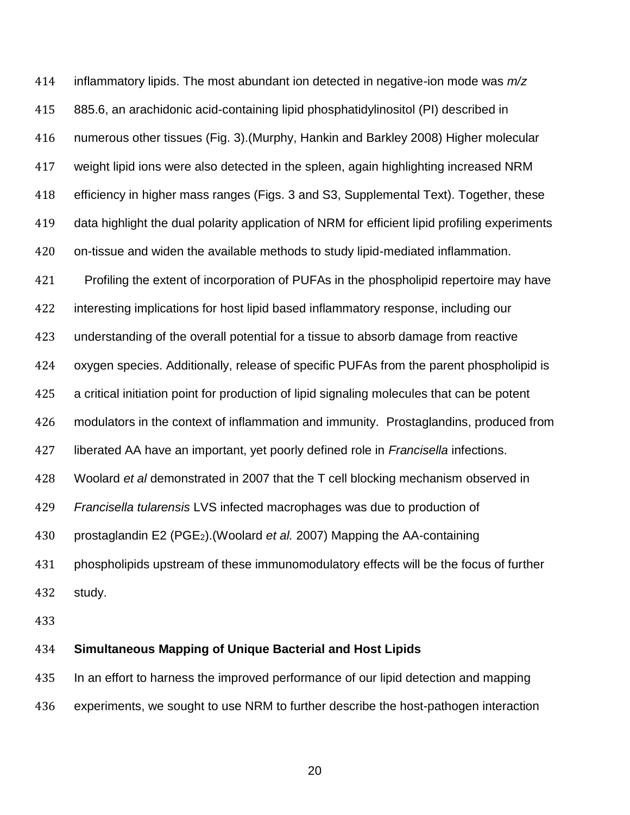inflammatory lipids. The most abundant ion detected in negative-ion mode was *m/z* 885.6, an arachidonic acid-containing lipid phosphatidylinositol (PI) described in numerous other tissues (Fig. 3).(Murphy, Hankin and Barkley 2008) Higher molecular weight lipid ions were also detected in the spleen, again highlighting increased NRM efficiency in higher mass ranges (Figs. 3 and S3, Supplemental Text). Together, these data highlight the dual polarity application of NRM for efficient lipid profiling experiments on-tissue and widen the available methods to study lipid-mediated inflammation. Profiling the extent of incorporation of PUFAs in the phospholipid repertoire may have interesting implications for host lipid based inflammatory response, including our understanding of the overall potential for a tissue to absorb damage from reactive oxygen species. Additionally, release of specific PUFAs from the parent phospholipid is a critical initiation point for production of lipid signaling molecules that can be potent modulators in the context of inflammation and immunity. Prostaglandins, produced from liberated AA have an important, yet poorly defined role in *Francisella* infections. Woolard *et al* demonstrated in 2007 that the T cell blocking mechanism observed in *Francisella tularensis* LVS infected macrophages was due to production of prostaglandin E2 (PGE2).(Woolard *et al.* 2007) Mapping the AA-containing phospholipids upstream of these immunomodulatory effects will be the focus of further study.

#### **Simultaneous Mapping of Unique Bacterial and Host Lipids**

In an effort to harness the improved performance of our lipid detection and mapping

experiments, we sought to use NRM to further describe the host-pathogen interaction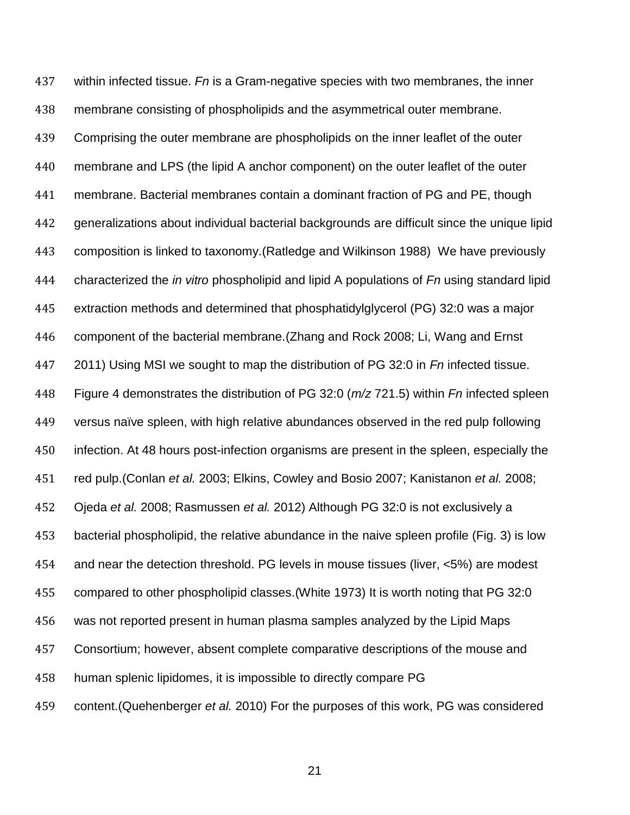within infected tissue. *Fn* is a Gram-negative species with two membranes, the inner membrane consisting of phospholipids and the asymmetrical outer membrane. Comprising the outer membrane are phospholipids on the inner leaflet of the outer membrane and LPS (the lipid A anchor component) on the outer leaflet of the outer membrane. Bacterial membranes contain a dominant fraction of PG and PE, though generalizations about individual bacterial backgrounds are difficult since the unique lipid composition is linked to taxonomy.(Ratledge and Wilkinson 1988) We have previously characterized the *in vitro* phospholipid and lipid A populations of *Fn* using standard lipid extraction methods and determined that phosphatidylglycerol (PG) 32:0 was a major component of the bacterial membrane.(Zhang and Rock 2008; Li, Wang and Ernst 2011) Using MSI we sought to map the distribution of PG 32:0 in *Fn* infected tissue. Figure 4 demonstrates the distribution of PG 32:0 (*m/z* 721.5) within *Fn* infected spleen versus naïve spleen, with high relative abundances observed in the red pulp following infection. At 48 hours post-infection organisms are present in the spleen, especially the red pulp.(Conlan *et al.* 2003; Elkins, Cowley and Bosio 2007; Kanistanon *et al.* 2008; Ojeda *et al.* 2008; Rasmussen *et al.* 2012) Although PG 32:0 is not exclusively a bacterial phospholipid, the relative abundance in the naive spleen profile (Fig. 3) is low and near the detection threshold. PG levels in mouse tissues (liver, <5%) are modest compared to other phospholipid classes.(White 1973) It is worth noting that PG 32:0 was not reported present in human plasma samples analyzed by the Lipid Maps Consortium; however, absent complete comparative descriptions of the mouse and human splenic lipidomes, it is impossible to directly compare PG content.(Quehenberger *et al.* 2010) For the purposes of this work, PG was considered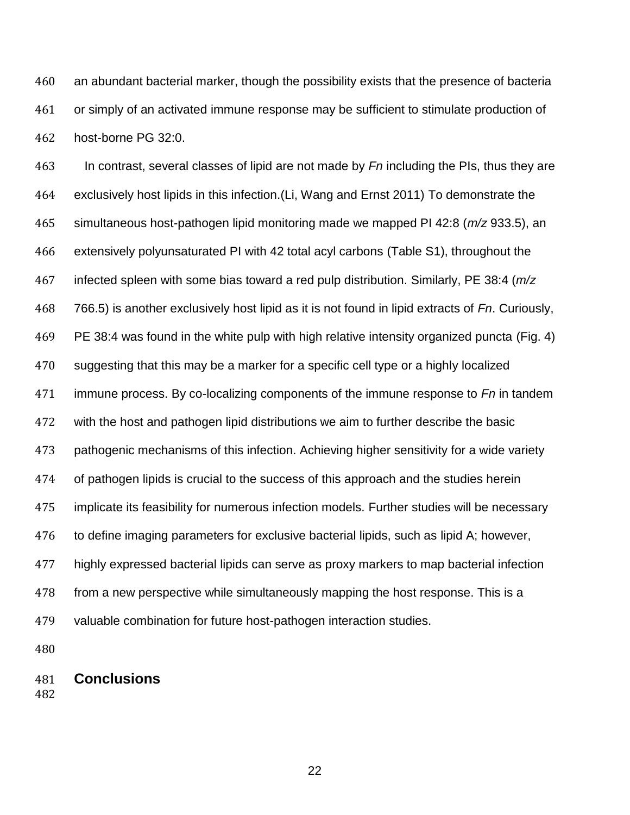an abundant bacterial marker, though the possibility exists that the presence of bacteria or simply of an activated immune response may be sufficient to stimulate production of host-borne PG 32:0.

 In contrast, several classes of lipid are not made by *Fn* including the PIs, thus they are exclusively host lipids in this infection.(Li, Wang and Ernst 2011) To demonstrate the simultaneous host-pathogen lipid monitoring made we mapped PI 42:8 (*m/z* 933.5), an extensively polyunsaturated PI with 42 total acyl carbons (Table S1), throughout the infected spleen with some bias toward a red pulp distribution. Similarly, PE 38:4 (*m/z* 766.5) is another exclusively host lipid as it is not found in lipid extracts of *Fn*. Curiously, PE 38:4 was found in the white pulp with high relative intensity organized puncta (Fig. 4) suggesting that this may be a marker for a specific cell type or a highly localized immune process. By co-localizing components of the immune response to *Fn* in tandem with the host and pathogen lipid distributions we aim to further describe the basic pathogenic mechanisms of this infection. Achieving higher sensitivity for a wide variety of pathogen lipids is crucial to the success of this approach and the studies herein implicate its feasibility for numerous infection models. Further studies will be necessary to define imaging parameters for exclusive bacterial lipids, such as lipid A; however, highly expressed bacterial lipids can serve as proxy markers to map bacterial infection from a new perspective while simultaneously mapping the host response. This is a valuable combination for future host-pathogen interaction studies.

**Conclusions**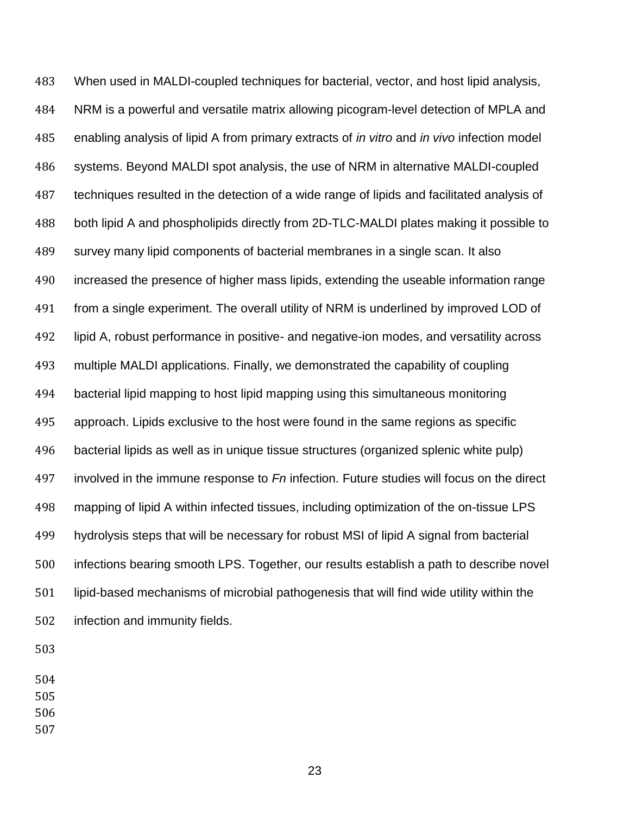When used in MALDI-coupled techniques for bacterial, vector, and host lipid analysis, NRM is a powerful and versatile matrix allowing picogram-level detection of MPLA and enabling analysis of lipid A from primary extracts of *in vitro* and *in vivo* infection model systems. Beyond MALDI spot analysis, the use of NRM in alternative MALDI-coupled techniques resulted in the detection of a wide range of lipids and facilitated analysis of both lipid A and phospholipids directly from 2D-TLC-MALDI plates making it possible to survey many lipid components of bacterial membranes in a single scan. It also increased the presence of higher mass lipids, extending the useable information range from a single experiment. The overall utility of NRM is underlined by improved LOD of lipid A, robust performance in positive- and negative-ion modes, and versatility across multiple MALDI applications. Finally, we demonstrated the capability of coupling bacterial lipid mapping to host lipid mapping using this simultaneous monitoring approach. Lipids exclusive to the host were found in the same regions as specific bacterial lipids as well as in unique tissue structures (organized splenic white pulp) involved in the immune response to *Fn* infection. Future studies will focus on the direct mapping of lipid A within infected tissues, including optimization of the on-tissue LPS hydrolysis steps that will be necessary for robust MSI of lipid A signal from bacterial infections bearing smooth LPS. Together, our results establish a path to describe novel lipid-based mechanisms of microbial pathogenesis that will find wide utility within the infection and immunity fields.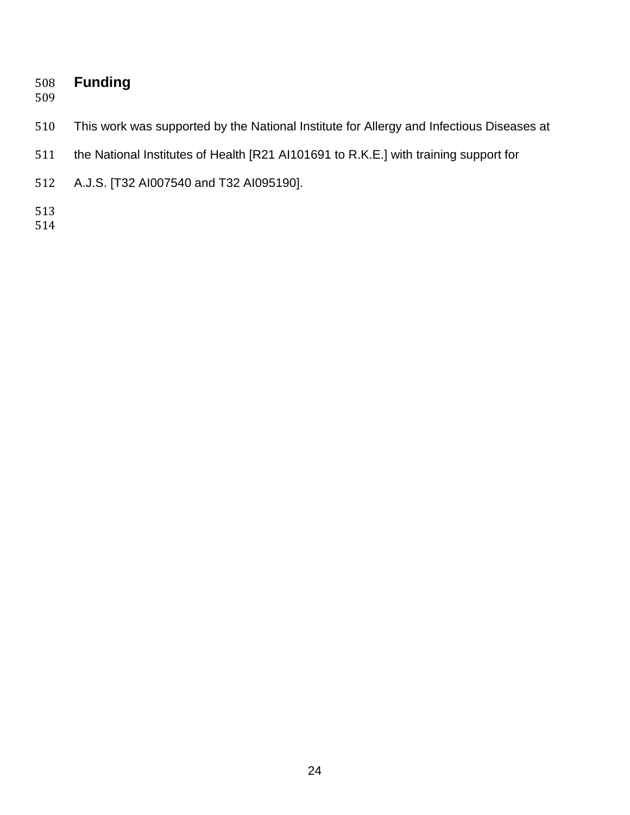# **Funding**

- 
- This work was supported by the National Institute for Allergy and Infectious Diseases at
- the National Institutes of Health [R21 AI101691 to R.K.E.] with training support for
- A.J.S. [T32 AI007540 and T32 AI095190].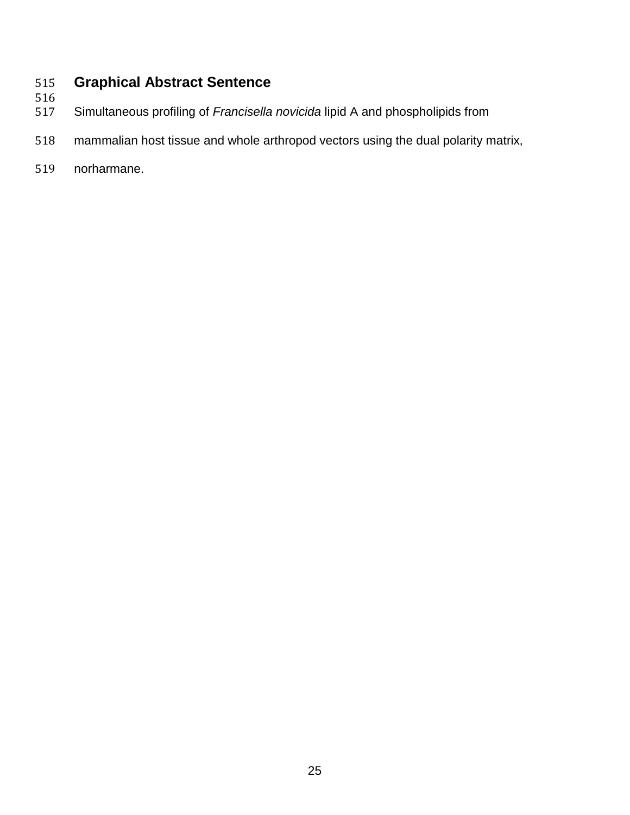# **Graphical Abstract Sentence**

- 516<br>517
	- Simultaneous profiling of *Francisella novicida* lipid A and phospholipids from
- mammalian host tissue and whole arthropod vectors using the dual polarity matrix,
- norharmane.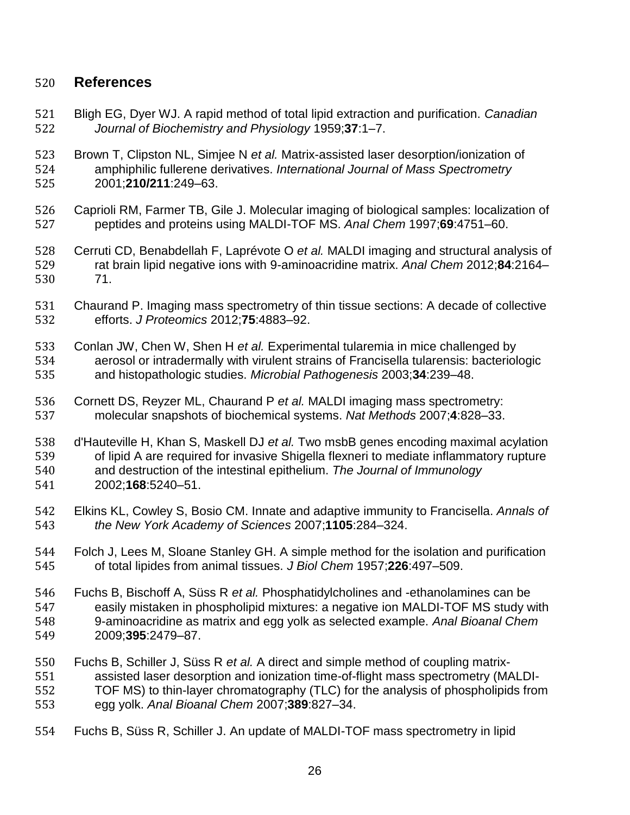## **References**

- Bligh EG, Dyer WJ. A rapid method of total lipid extraction and purification. *Canadian Journal of Biochemistry and Physiology* 1959;**37**:1–7.
- Brown T, Clipston NL, Simjee N *et al.* Matrix-assisted laser desorption/ionization of amphiphilic fullerene derivatives. *International Journal of Mass Spectrometry* 2001;**210/211**:249–63.
- Caprioli RM, Farmer TB, Gile J. Molecular imaging of biological samples: localization of peptides and proteins using MALDI-TOF MS. *Anal Chem* 1997;**69**:4751–60.
- Cerruti CD, Benabdellah F, Laprévote O *et al.* MALDI imaging and structural analysis of rat brain lipid negative ions with 9-aminoacridine matrix. *Anal Chem* 2012;**84**:2164– 71.
- Chaurand P. Imaging mass spectrometry of thin tissue sections: A decade of collective efforts. *J Proteomics* 2012;**75**:4883–92.
- Conlan JW, Chen W, Shen H *et al.* Experimental tularemia in mice challenged by aerosol or intradermally with virulent strains of Francisella tularensis: bacteriologic and histopathologic studies. *Microbial Pathogenesis* 2003;**34**:239–48.
- Cornett DS, Reyzer ML, Chaurand P *et al.* MALDI imaging mass spectrometry: molecular snapshots of biochemical systems. *Nat Methods* 2007;**4**:828–33.
- d'Hauteville H, Khan S, Maskell DJ *et al.* Two msbB genes encoding maximal acylation of lipid A are required for invasive Shigella flexneri to mediate inflammatory rupture
- and destruction of the intestinal epithelium. *The Journal of Immunology* 2002;**168**:5240–51.
- Elkins KL, Cowley S, Bosio CM. Innate and adaptive immunity to Francisella. *Annals of the New York Academy of Sciences* 2007;**1105**:284–324.
- Folch J, Lees M, Sloane Stanley GH. A simple method for the isolation and purification of total lipides from animal tissues. *J Biol Chem* 1957;**226**:497–509.
- Fuchs B, Bischoff A, Süss R *et al.* Phosphatidylcholines and -ethanolamines can be easily mistaken in phospholipid mixtures: a negative ion MALDI-TOF MS study with 9-aminoacridine as matrix and egg yolk as selected example. *Anal Bioanal Chem* 2009;**395**:2479–87.
- Fuchs B, Schiller J, Süss R *et al.* A direct and simple method of coupling matrix- assisted laser desorption and ionization time-of-flight mass spectrometry (MALDI- TOF MS) to thin-layer chromatography (TLC) for the analysis of phospholipids from egg yolk. *Anal Bioanal Chem* 2007;**389**:827–34.
- Fuchs B, Süss R, Schiller J. An update of MALDI-TOF mass spectrometry in lipid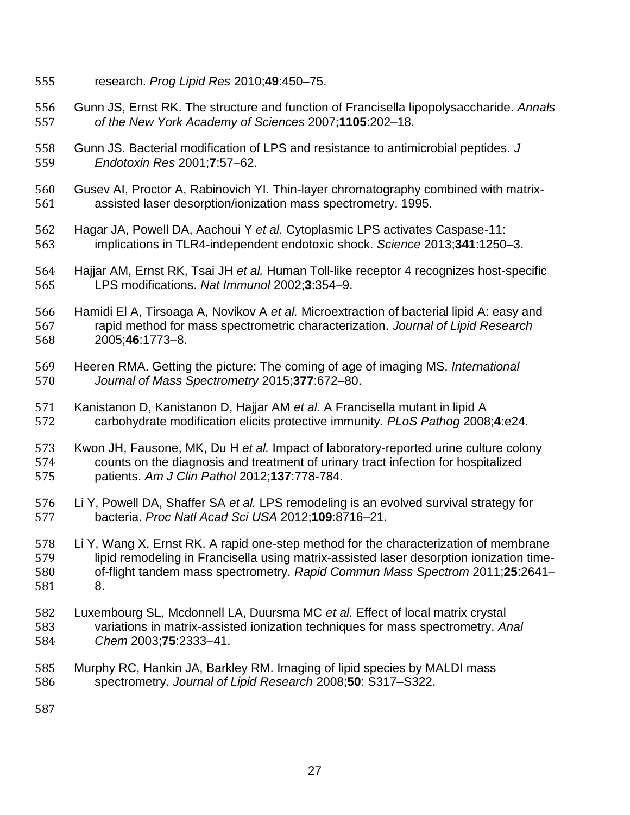- research. *Prog Lipid Res* 2010;**49**:450–75.
- Gunn JS, Ernst RK. The structure and function of Francisella lipopolysaccharide. *Annals of the New York Academy of Sciences* 2007;**1105**:202–18.
- Gunn JS. Bacterial modification of LPS and resistance to antimicrobial peptides. *J Endotoxin Res* 2001;**7**:57–62.
- Gusev AI, Proctor A, Rabinovich YI. Thin-layer chromatography combined with matrix-assisted laser desorption/ionization mass spectrometry. 1995.
- Hagar JA, Powell DA, Aachoui Y *et al.* Cytoplasmic LPS activates Caspase-11: implications in TLR4-independent endotoxic shock. *Science* 2013;**341**:1250–3.
- Hajjar AM, Ernst RK, Tsai JH *et al.* Human Toll-like receptor 4 recognizes host-specific LPS modifications. *Nat Immunol* 2002;**3**:354–9.
- Hamidi El A, Tirsoaga A, Novikov A *et al.* Microextraction of bacterial lipid A: easy and rapid method for mass spectrometric characterization. *Journal of Lipid Research* 2005;**46**:1773–8.
- Heeren RMA. Getting the picture: The coming of age of imaging MS. *International Journal of Mass Spectrometry* 2015;**377**:672–80.
- Kanistanon D, Kanistanon D, Hajjar AM *et al.* A Francisella mutant in lipid A carbohydrate modification elicits protective immunity. *PLoS Pathog* 2008;**4**:e24.
- Kwon JH, Fausone, MK, Du H *et al.* Impact of laboratory-reported urine culture colony counts on the diagnosis and treatment of urinary tract infection for hospitalized patients. *Am J Clin Pathol* 2012;**137**:778-784.
- Li Y, Powell DA, Shaffer SA *et al.* LPS remodeling is an evolved survival strategy for bacteria. *Proc Natl Acad Sci USA* 2012;**109**:8716–21.
- Li Y, Wang X, Ernst RK. A rapid one-step method for the characterization of membrane lipid remodeling in Francisella using matrix-assisted laser desorption ionization time- of-flight tandem mass spectrometry. *Rapid Commun Mass Spectrom* 2011;**25**:2641– 8.
- Luxembourg SL, Mcdonnell LA, Duursma MC *et al.* Effect of local matrix crystal variations in matrix-assisted ionization techniques for mass spectrometry. *Anal Chem* 2003;**75**:2333–41.
- Murphy RC, Hankin JA, Barkley RM. Imaging of lipid species by MALDI mass spectrometry. *Journal of Lipid Research* 2008;**50**: S317–S322.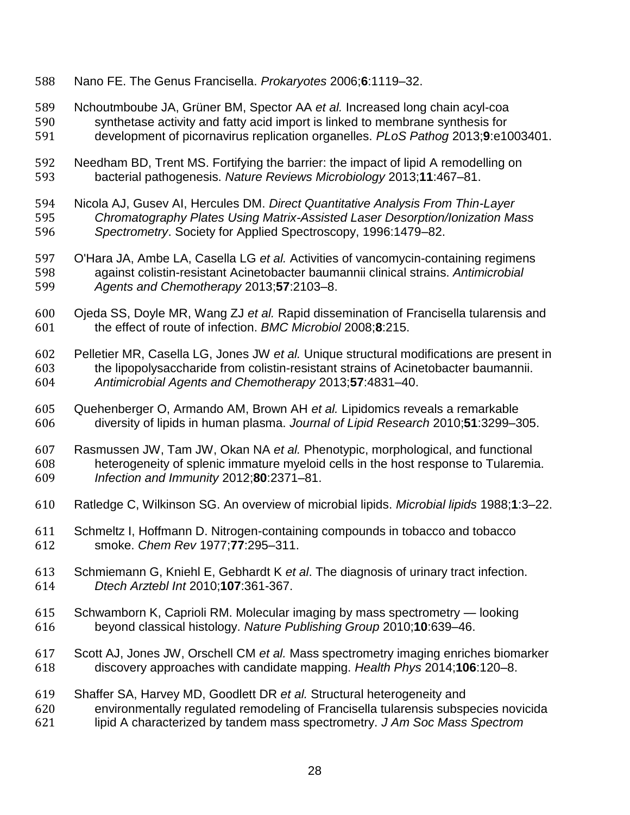- Nano FE. The Genus Francisella. *Prokaryotes* 2006;**6**:1119–32.
- Nchoutmboube JA, Grüner BM, Spector AA *et al.* Increased long chain acyl-coa synthetase activity and fatty acid import is linked to membrane synthesis for development of picornavirus replication organelles. *PLoS Pathog* 2013;**9**:e1003401.
- Needham BD, Trent MS. Fortifying the barrier: the impact of lipid A remodelling on bacterial pathogenesis. *Nature Reviews Microbiology* 2013;**11**:467–81.
- Nicola AJ, Gusev AI, Hercules DM. *Direct Quantitative Analysis From Thin-Layer Chromatography Plates Using Matrix-Assisted Laser Desorption/Ionization Mass Spectrometry*. Society for Applied Spectroscopy, 1996:1479–82.
- O'Hara JA, Ambe LA, Casella LG *et al.* Activities of vancomycin-containing regimens against colistin-resistant Acinetobacter baumannii clinical strains. *Antimicrobial Agents and Chemotherapy* 2013;**57**:2103–8.
- Ojeda SS, Doyle MR, Wang ZJ *et al.* Rapid dissemination of Francisella tularensis and the effect of route of infection. *BMC Microbiol* 2008;**8**:215.
- Pelletier MR, Casella LG, Jones JW *et al.* Unique structural modifications are present in the lipopolysaccharide from colistin-resistant strains of Acinetobacter baumannii. *Antimicrobial Agents and Chemotherapy* 2013;**57**:4831–40.
- Quehenberger O, Armando AM, Brown AH *et al.* Lipidomics reveals a remarkable diversity of lipids in human plasma. *Journal of Lipid Research* 2010;**51**:3299–305.
- Rasmussen JW, Tam JW, Okan NA *et al.* Phenotypic, morphological, and functional heterogeneity of splenic immature myeloid cells in the host response to Tularemia. *Infection and Immunity* 2012;**80**:2371–81.
- Ratledge C, Wilkinson SG. An overview of microbial lipids. *Microbial lipids* 1988;**1**:3–22.
- Schmeltz I, Hoffmann D. Nitrogen-containing compounds in tobacco and tobacco smoke. *Chem Rev* 1977;**77**:295–311.
- Schmiemann G, Kniehl E, Gebhardt K *et al*. The diagnosis of urinary tract infection. *Dtech Arztebl Int* 2010;**107**:361-367.
- Schwamborn K, Caprioli RM. Molecular imaging by mass spectrometry looking beyond classical histology. *Nature Publishing Group* 2010;**10**:639–46.
- Scott AJ, Jones JW, Orschell CM *et al.* Mass spectrometry imaging enriches biomarker discovery approaches with candidate mapping. *Health Phys* 2014;**106**:120–8.
- Shaffer SA, Harvey MD, Goodlett DR *et al.* Structural heterogeneity and
- environmentally regulated remodeling of Francisella tularensis subspecies novicida
- lipid A characterized by tandem mass spectrometry. *J Am Soc Mass Spectrom*